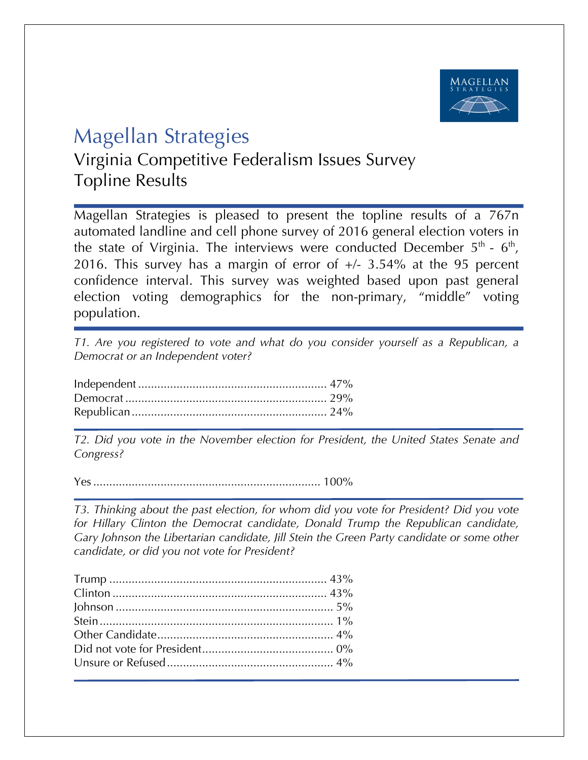

## Magellan Strategies

Virginia Competitive Federalism Issues Survey Topline Results

Magellan Strategies is pleased to present the topline results of a 767n automated landline and cell phone survey of 2016 general election voters in the state of Virginia. The interviews were conducted December  $5<sup>th</sup>$  -  $6<sup>th</sup>$ , 2016. This survey has a margin of error of  $+/- 3.54\%$  at the 95 percent confidence interval. This survey was weighted based upon past general election voting demographics for the non-primary, "middle" voting population.

*T1. Are you registered to vote and what do you consider yourself as a Republican, a Democrat or an Independent voter?*

*T2. Did you vote in the November election for President, the United States Senate and Congress?* 

Yes....................................................................... 100%

*T3. Thinking about the past election, for whom did you vote for President? Did you vote for Hillary Clinton the Democrat candidate, Donald Trump the Republican candidate, Gary Johnson the Libertarian candidate, Jill Stein the Green Party candidate or some other candidate, or did you not vote for President?*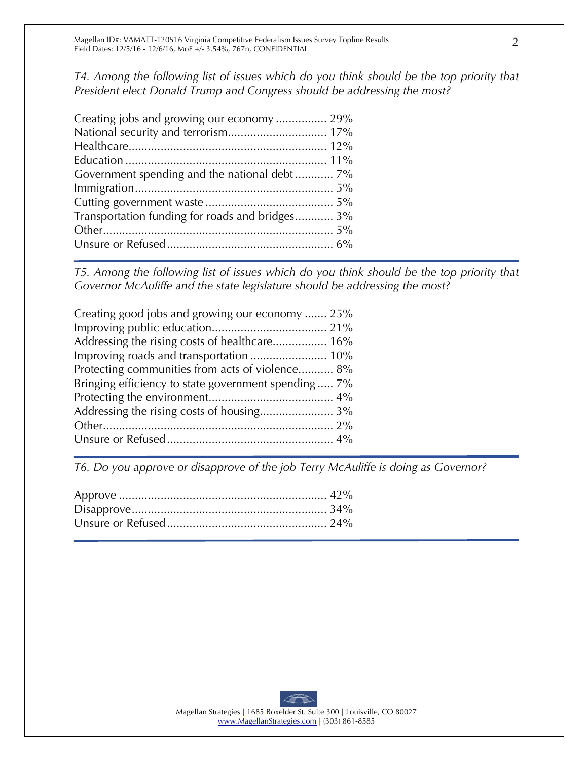*T4. Among the following list of issues which do you think should be the top priority that President elect Donald Trump and Congress should be addressing the most?*

| Creating jobs and growing our economy 29%       |  |
|-------------------------------------------------|--|
| National security and terrorism 17%             |  |
|                                                 |  |
|                                                 |  |
|                                                 |  |
|                                                 |  |
|                                                 |  |
| Transportation funding for roads and bridges 3% |  |
|                                                 |  |
|                                                 |  |
|                                                 |  |

*T5. Among the following list of issues which do you think should be the top priority that Governor McAuliffe and the state legislature should be addressing the most?* 

| Creating good jobs and growing our economy  25%     |
|-----------------------------------------------------|
|                                                     |
| Addressing the rising costs of healthcare 16%       |
| Improving roads and transportation  10%             |
| Protecting communities from acts of violence 8%     |
| Bringing efficiency to state government spending 7% |
|                                                     |
|                                                     |
|                                                     |
|                                                     |
|                                                     |

*T6. Do you approve or disapprove of the job Terry McAuliffe is doing as Governor?*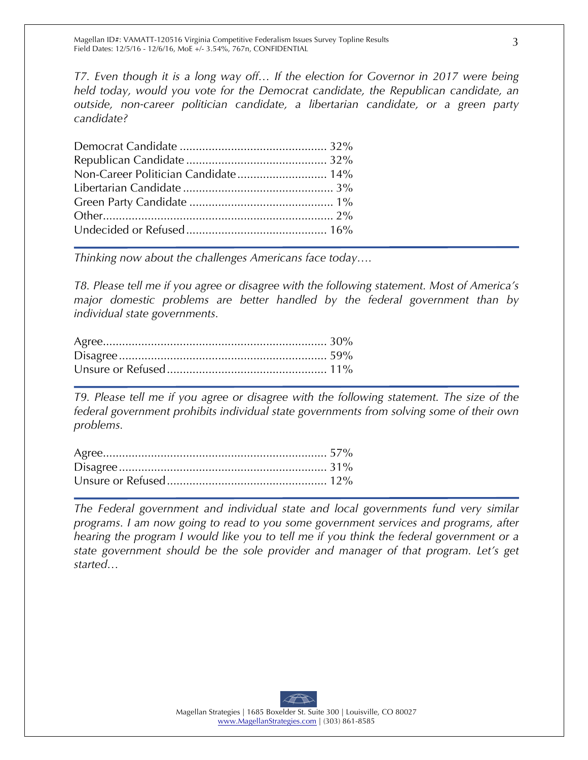*T7. Even though it is a long way off… If the election for Governor in 2017 were being held today, would you vote for the Democrat candidate, the Republican candidate, an outside, non-career politician candidate, a libertarian candidate, or a green party candidate?*

| Non-Career Politician Candidate 14% |
|-------------------------------------|
|                                     |
|                                     |
|                                     |
|                                     |
|                                     |

*Thinking now about the challenges Americans face today….*

*T8. Please tell me if you agree or disagree with the following statement. Most of America's major domestic problems are better handled by the federal government than by individual state governments.*

*T9. Please tell me if you agree or disagree with the following statement. The size of the federal government prohibits individual state governments from solving some of their own problems.*

*The Federal government and individual state and local governments fund very similar programs. I am now going to read to you some government services and programs, after hearing the program I would like you to tell me if you think the federal government or a state government should be the sole provider and manager of that program. Let's get started…*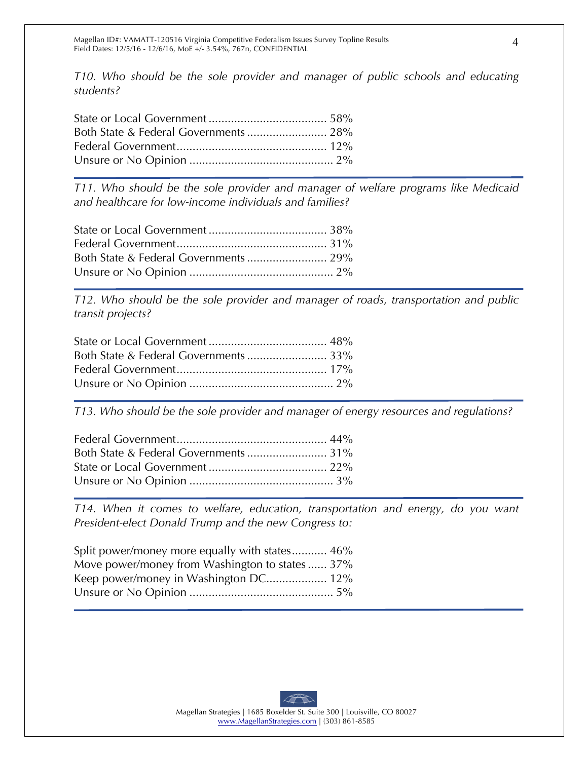*T10. Who should be the sole provider and manager of public schools and educating students?*

*T11. Who should be the sole provider and manager of welfare programs like Medicaid and healthcare for low-income individuals and families?*

*T12. Who should be the sole provider and manager of roads, transportation and public transit projects?*

*T13. Who should be the sole provider and manager of energy resources and regulations?*

*T14. When it comes to welfare, education, transportation and energy, do you want President-elect Donald Trump and the new Congress to:*

| Split power/money more equally with states 46% |
|------------------------------------------------|
| Move power/money from Washington to states 37% |
| Keep power/money in Washington DC 12%          |
|                                                |
|                                                |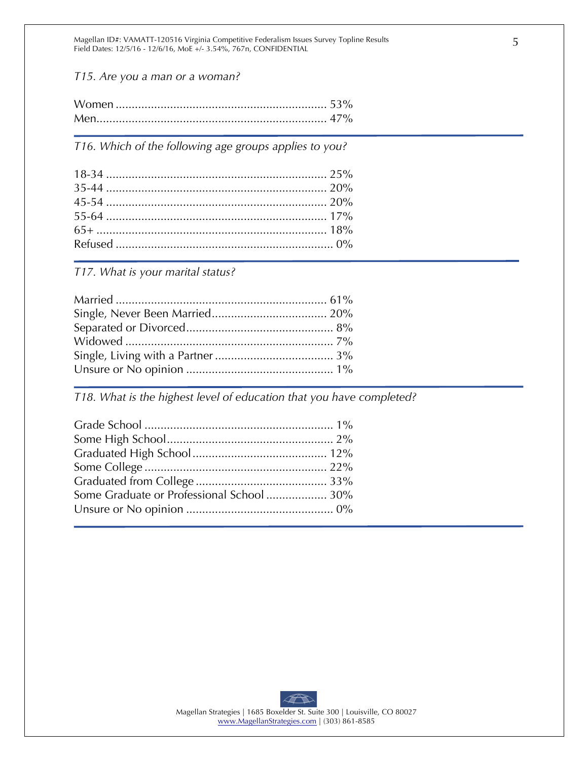Magellan ID#: VAMATT-120516 Virginia Competitive Federalism Issues Survey Topline Results Field Dates: 12/5/16 - 12/6/16, MoE +/- 3.54%, 767n, CONFIDENTIAL

*T15. Are you a man or a woman?*

*T16. Which of the following age groups applies to you?* 

*T17. What is your marital status?* 

*T18. What is the highest level of education that you have completed?*

| Some Graduate or Professional School  30% |  |
|-------------------------------------------|--|
|                                           |  |
|                                           |  |